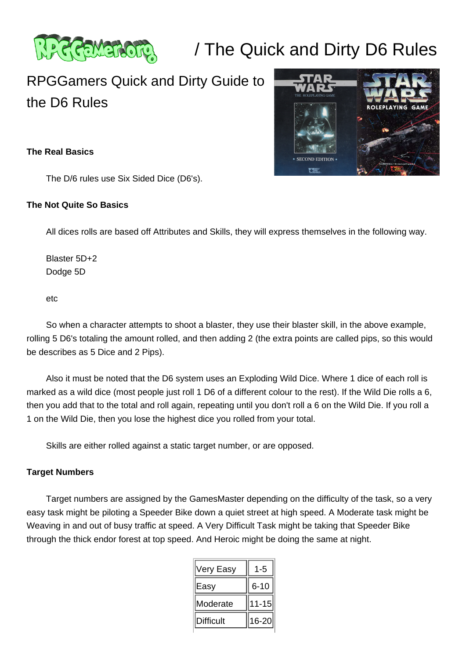

# / The Quick and Dirty D6 Rules

# RPGGamers Quick and Dirty Guide to the D6 Rules

# **The Real Basics**

The D/6 rules use Six Sided Dice (D6's).

#### **The Not Quite So Basics**

All dices rolls are based off Attributes and Skills, they will express themselves in the following way.

 Blaster 5D+2 Dodge 5D

etc

 So when a character attempts to shoot a blaster, they use their blaster skill, in the above example, rolling 5 D6's totaling the amount rolled, and then adding 2 (the extra points are called pips, so this would be describes as 5 Dice and 2 Pips).

 Also it must be noted that the D6 system uses an Exploding Wild Dice. Where 1 dice of each roll is marked as a wild dice (most people just roll 1 D6 of a different colour to the rest). If the Wild Die rolls a 6, then you add that to the total and roll again, repeating until you don't roll a 6 on the Wild Die. If you roll a 1 on the Wild Die, then you lose the highest dice you rolled from your total.

Skills are either rolled against a static target number, or are opposed.

#### **Target Numbers**

 Target numbers are assigned by the GamesMaster depending on the difficulty of the task, so a very easy task might be piloting a Speeder Bike down a quiet street at high speed. A Moderate task might be Weaving in and out of busy traffic at speed. A Very Difficult Task might be taking that Speeder Bike through the thick endor forest at top speed. And Heroic might be doing the same at night.

| Very Easy        | -5        |
|------------------|-----------|
| Easy             | $6 - 10$  |
| Moderate         | $11 - 15$ |
| <b>Difficult</b> | 16-20     |

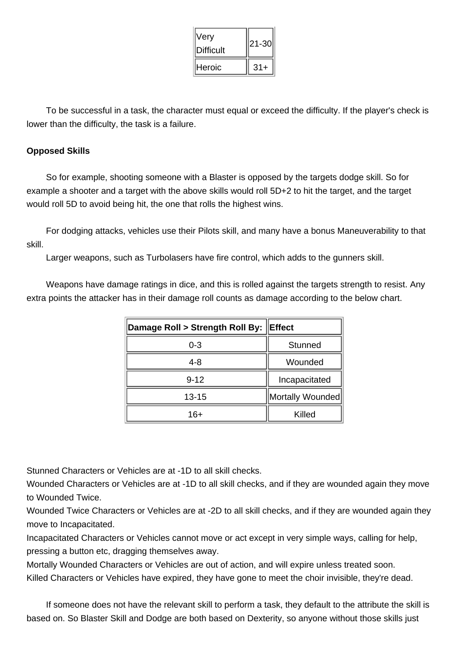| Very<br><b>Difficult</b> | 21-30 |
|--------------------------|-------|
| Heroic                   | $31+$ |

 To be successful in a task, the character must equal or exceed the difficulty. If the player's check is lower than the difficulty, the task is a failure.

## **Opposed Skills**

 So for example, shooting someone with a Blaster is opposed by the targets dodge skill. So for example a shooter and a target with the above skills would roll 5D+2 to hit the target, and the target would roll 5D to avoid being hit, the one that rolls the highest wins.

 For dodging attacks, vehicles use their Pilots skill, and many have a bonus Maneuverability to that skill.

Larger weapons, such as Turbolasers have fire control, which adds to the gunners skill.

 Weapons have damage ratings in dice, and this is rolled against the targets strength to resist. Any extra points the attacker has in their damage roll counts as damage according to the below chart.

| Damage Roll > Strength Roll By: Effect |                  |  |
|----------------------------------------|------------------|--|
| 0-3                                    | <b>Stunned</b>   |  |
| 4-8                                    | Wounded          |  |
| $9 - 12$                               | Incapacitated    |  |
| 13-15                                  | Mortally Wounded |  |
| 16+                                    | Killed           |  |

Stunned Characters or Vehicles are at -1D to all skill checks.

Wounded Characters or Vehicles are at -1D to all skill checks, and if they are wounded again they move to Wounded Twice.

Wounded Twice Characters or Vehicles are at -2D to all skill checks, and if they are wounded again they move to Incapacitated.

Incapacitated Characters or Vehicles cannot move or act except in very simple ways, calling for help, pressing a button etc, dragging themselves away.

Mortally Wounded Characters or Vehicles are out of action, and will expire unless treated soon. Killed Characters or Vehicles have expired, they have gone to meet the choir invisible, they're dead.

 If someone does not have the relevant skill to perform a task, they default to the attribute the skill is based on. So Blaster Skill and Dodge are both based on Dexterity, so anyone without those skills just